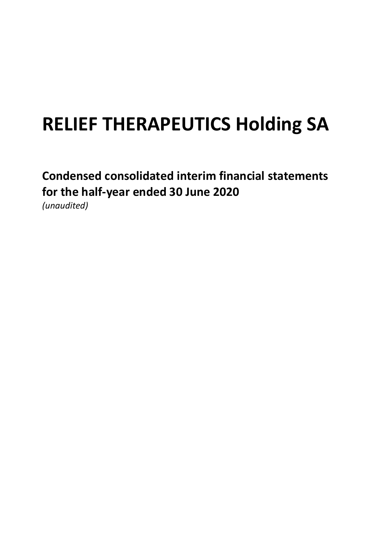# **RELIEF THERAPEUTICS Holding SA**

# **Condensed consolidated interim financial statements for the half-year ended 30 June 2020** *(unaudited)*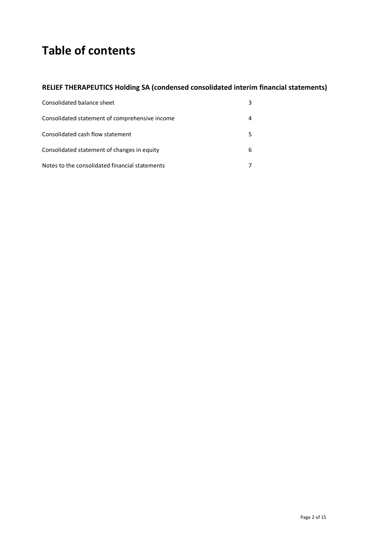# **Table of contents**

### **RELIEF THERAPEUTICS Holding SA (condensed consolidated interim financial statements)**

| Consolidated balance sheet                     |   |
|------------------------------------------------|---|
| Consolidated statement of comprehensive income |   |
| Consolidated cash flow statement               |   |
| Consolidated statement of changes in equity    | 6 |
| Notes to the consolidated financial statements |   |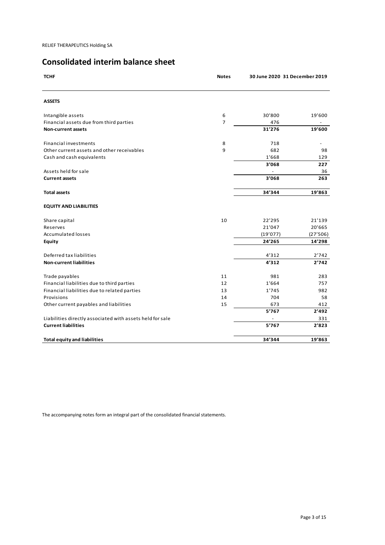## **Consolidated interim balance sheet**

| <b>TCHF</b>                                               | <b>Notes</b>   | 30 June 2020 31 December 2019 |          |
|-----------------------------------------------------------|----------------|-------------------------------|----------|
| <b>ASSETS</b>                                             |                |                               |          |
| Intangible assets                                         | 6              | 30'800                        | 19'600   |
| Financial assets due from third parties                   | $\overline{7}$ | 476                           |          |
| <b>Non-current assets</b>                                 |                | 31'276                        | 19'600   |
| <b>Financial investments</b>                              | 8              | 718                           |          |
| Other current assets and other receivables                | 9              | 682                           | 98       |
| Cash and cash equivalents                                 |                | 1'668                         | 129      |
|                                                           |                | 3'068                         | 227      |
| Assets held for sale                                      |                |                               | 36       |
| <b>Current assets</b>                                     |                | 3'068                         | 263      |
| <b>Total assets</b>                                       |                | 34'344                        | 19'863   |
| <b>EQUITY AND LIABILITIES</b>                             |                |                               |          |
| Share capital                                             | 10             | 22'295                        | 21'139   |
| Reserves                                                  |                | 21'047                        | 20'665   |
| <b>Accumulated losses</b>                                 |                | (19'077)                      | (27'506) |
| <b>Equity</b>                                             |                | 24'265                        | 14'298   |
| Deferred tax liabilities                                  |                | 4'312                         | 2'742    |
| <b>Non-current liabilities</b>                            |                | 4'312                         | 2'742    |
| Trade payables                                            | 11             | 981                           | 283      |
| Financial liabilities due to third parties                | 12             | 1'664                         | 757      |
| Financial liabilities due to related parties              | 13             | 1'745                         | 982      |
| Provisions                                                | 14             | 704                           | 58       |
| Other current payables and liabilities                    | 15             | 673                           | 412      |
|                                                           |                | 5'767                         | 2'492    |
| Liabilities directly associated with assets held for sale |                |                               | 331      |
| <b>Current liabilities</b>                                |                | 5'767                         | 2'823    |
| <b>Total equity and liabilities</b>                       |                | 34'344                        | 19'863   |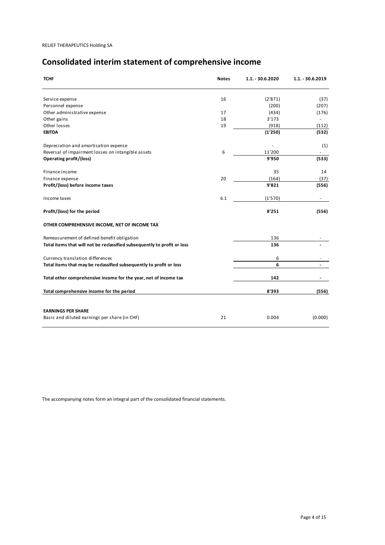# **Consolidated interim statement of comprehensive income**

| <b>TCHF</b>                                                              | <b>Notes</b> | $1.1 - 30.6.2020$ | 1.1. - 30.6.2019 |
|--------------------------------------------------------------------------|--------------|-------------------|------------------|
| Service expense                                                          | 16           | (2'871)           | (37)             |
| Personnel expense                                                        |              | (200)             | (207)            |
| Other administrative expense                                             | 17           | (434)             | (176)            |
| Other gains                                                              | 18           | 3'173             |                  |
| Other losses                                                             | 19           | (918)             | (112)            |
| <b>EBITDA</b>                                                            |              | (1'250)           | (532)            |
| Depreciation and amortisation expense                                    |              |                   | (1)              |
| Reversal of impairment losses on intangible assets                       | 6            | 11'200            |                  |
| Operating profit/(loss)                                                  |              | 9'950             | (533)            |
| Finance income                                                           |              | 35                | 14               |
| Finance expense                                                          | 20           | (164)             | (37)             |
| Profit/(loss) before income taxes                                        |              | 9'821             | (556)            |
| Income taxes                                                             | 6.1          | (1'570)           |                  |
| Profit/(loss) for the period                                             |              | 8'251             | (556)            |
| OTHER COMPREHENSIVE INCOME, NET OF INCOME TAX                            |              |                   |                  |
| Remeasurement of defined benefit obligation                              |              | 136               |                  |
| Total items that will not be reclassified subsequently to profit or loss |              | 136               |                  |
| Currency translation differences                                         |              | 6                 |                  |
| Total items that may be reclassified subsequently to profit or loss      |              | 6                 | ٠                |
| Total other comprehensive income for the year, net of income tax         |              | 142               |                  |
| Total comprehensive income for the period                                |              | 8'393             | (556)            |
|                                                                          |              |                   |                  |
| <b>EARNINGS PER SHARE</b>                                                |              |                   |                  |
| Basic and diluted earnings per share (in CHF)                            | 21           | 0.004             | (0.000)          |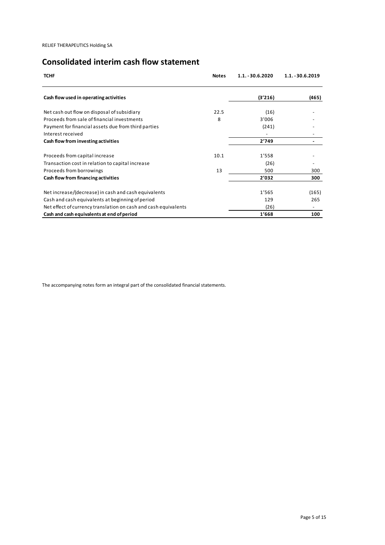# **Consolidated interim cash flow statement**

| <b>TCHF</b>                                                     | <b>Notes</b> | $1.1. - 30.6.2020$ | $1.1. - 30.6.2019$ |
|-----------------------------------------------------------------|--------------|--------------------|--------------------|
| Cash flow used in operating activities                          |              | (3'216)            | (465)              |
| Net cash out flow on disposal of subsidiary                     | 22.5         | (16)               |                    |
| Proceeds from sale of financial investments                     | 8            | 3'006              |                    |
| Payment for financial assets due from third parties             |              | (241)              |                    |
| Interest received                                               |              |                    |                    |
| Cash flow from investing activities                             |              | 2'749              |                    |
| Proceeds from capital increase                                  | 10.1         | 1'558              |                    |
| Transaction cost in relation to capital increase                |              | (26)               |                    |
| Proceeds from borrowings                                        | 13           | 500                | 300                |
| Cash flow from financing activities                             |              | 2'032              | 300                |
| Net increase/(decrease) in cash and cash equivalents            |              | 1'565              | (165)              |
| Cash and cash equivalents at beginning of period                |              | 129                | 265                |
| Net effect of currency translation on cash and cash equivalents |              | (26)               |                    |
| Cash and cash equivalents at end of period                      |              | 1'668              | 100                |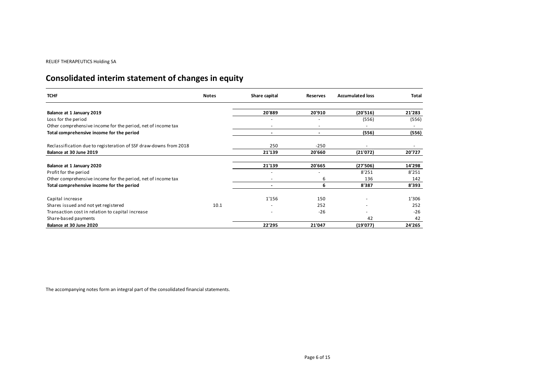# **Consolidated interim statement of changes in equity**

| <b>TCHF</b>                                                       | <b>Notes</b> | Share capital            | <b>Reserves</b>          | <b>Accumulated loss</b> | Total  |
|-------------------------------------------------------------------|--------------|--------------------------|--------------------------|-------------------------|--------|
| Balance at 1 January 2019                                         |              | 20'889                   | 20'910                   | (20'516)                | 21'283 |
| Loss for the period                                               |              |                          |                          | (556)                   | (556)  |
| Other comprehensive income for the period, net of income tax      |              | $\overline{\phantom{a}}$ | $\overline{\phantom{a}}$ |                         |        |
| Total comprehensive income for the period                         |              | $\blacksquare$           | $\overline{\phantom{a}}$ | (556)                   | (556)  |
| Reclassification due to registeration of SSF draw-downs from 2018 |              | 250                      | $-250$                   |                         |        |
| Balance at 30 June 2019                                           |              | 21'139                   | 20'660                   | (21'072)                | 20'727 |
| Balance at 1 January 2020                                         |              | 21'139                   | 20'665                   | (27'506)                | 14'298 |
| Profit for the period                                             |              | ٠                        |                          | 8'251                   | 8'251  |
| Other comprehensive income for the period, net of income tax      |              | $\overline{\phantom{a}}$ | 6                        | 136                     | 142    |
| Total comprehensive income for the period                         |              |                          | 6                        | 8'387                   | 8'393  |
| Capital increase                                                  |              | 1'156                    | 150                      |                         | 1'306  |
| Shares issued and not yet registered                              | 10.1         |                          | 252                      |                         | 252    |
| Transaction cost in relation to capital increase                  |              |                          | $-26$                    |                         | $-26$  |
| Share-based payments                                              |              |                          |                          | 42                      | 42     |
| Balance at 30 June 2020                                           |              | 22'295                   | 21'047                   | (19'077)                | 24'265 |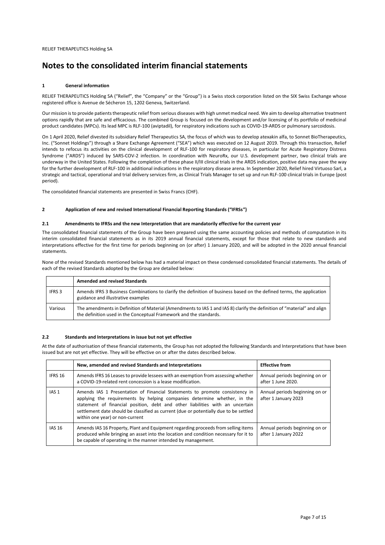### **Notes to the consolidated interim financial statements**

#### **1 General information**

RELIEF THERAPEUTICS Holding SA ("Relief", the "Company" or the "Group") is a Swiss stock corporation listed on the SIX Swiss Exchange whose registered office is Avenue de Sécheron 15, 1202 Geneva, Switzerland.

Our mission is to provide patients therapeutic relief from serious diseases with high unmet medical need. We aim to develop alternative treatment options rapidly that are safe and efficacious. The combined Group is focused on the development and/or licensing of its portfolio of medicinal product candidates (MPCs). Its lead MPC is RLF-100 (aviptadil), for respiratory indications such as COVID-19-ARDS or pulmonary sarcoidosis.

On 1 April 2020, Relief divested its subsidiary Relief Therapeutics SA, the focus of which was to develop atexakin alfa, to Sonnet BioTherapeutics, Inc. ("Sonnet Holdings") through a Share Exchange Agreement ("SEA") which was executed on 12 August 2019. Through this transaction, Relief intends to refocus its activities on the clinical development of RLF-100 for respiratory diseases, in particular for Acute Respiratory Distress Syndrome ("ARDS") induced by SARS-COV-2 infection. In coordination with NeuroRx, our U.S. development partner, two clinical trials are underway in the United States. Following the completion of these phase II/III clinical trials in the ARDS indication, positive data may pave the way for the further development of RLF-100 in additional indications in the respiratory disease arena. In September 2020, Relief hired Virtuoso Sarl, a strategic and tactical, operational and trial delivery services firm, as Clinical Trials Manager to set up and run RLF-100 clinical trials in Europe (post period).

The consolidated financial statements are presented in Swiss Francs (CHF).

#### **2 Application of new and revised International Financial Reporting Standards ("IFRSs")**

#### **2.1 Amendments to IFRSs and the new Interpretation that are mandatorily effective for the current year**

The consolidated financial statements of the Group have been prepared using the same accounting policies and methods of computation in its interim consolidated financial statements as in its 2019 annual financial statements, except for those that relate to new standards and interpretations effective for the first time for periods beginning on (or after) 1 January 2020, and will be adopted in the 2020 annual financial statements.

None of the revised Standards mentioned below has had a material impact on these condensed consolidated financial statements. The details of each of the revised Standards adopted by the Group are detailed below:

|                   | <b>Amended and revised Standards</b>                                                                                                                                                          |
|-------------------|-----------------------------------------------------------------------------------------------------------------------------------------------------------------------------------------------|
| IFRS <sub>3</sub> | Amends IFRS 3 Business Combinations to clarify the definition of business based on the defined terms, the application<br>guidance and illustrative examples                                   |
| Various           | The amendments in Definition of Material (Amendments to IAS 1 and IAS 8) clarify the definition of "material" and align<br>the definition used in the Conceptual Framework and the standards. |

#### **2.2 Standards and Interpretations in issue but not yet effective**

At the date of authorisation of these financial statements, the Group has not adopted the following Standards and Interpretations that have been issued but are not yet effective. They will be effective on or after the dates described below.

|                  | New, amended and revised Standards and Interpretations                                                                                                                                                                                                                                                                                                               | <b>Effective from</b>                                  |
|------------------|----------------------------------------------------------------------------------------------------------------------------------------------------------------------------------------------------------------------------------------------------------------------------------------------------------------------------------------------------------------------|--------------------------------------------------------|
| IFRS 16          | Amends IFRS 16 Leases to provide lessees with an exemption from assessing whether<br>a COVID-19-related rent concession is a lease modification.                                                                                                                                                                                                                     | Annual periods beginning on or<br>after 1 June 2020.   |
| IAS <sub>1</sub> | Amends IAS 1 Presentation of Financial Statements to promote consistency in<br>applying the requirements by helping companies determine whether, in the<br>statement of financial position, debt and other liabilities with an uncertain<br>settlement date should be classified as current (due or potentially due to be settled<br>within one year) or non-current | Annual periods beginning on or<br>after 1 January 2023 |
| <b>IAS 16</b>    | Amends IAS 16 Property, Plant and Equipment regarding proceeds from selling items<br>produced while bringing an asset into the location and condition necessary for it to<br>be capable of operating in the manner intended by management.                                                                                                                           | Annual periods beginning on or<br>after 1 January 2022 |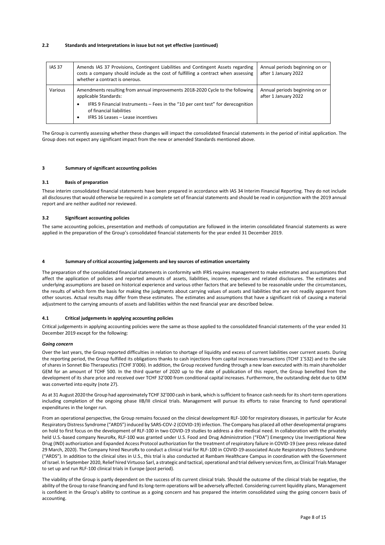#### **2.2 Standards and Interpretations in issue but not yet effective (continued)**

| <b>IAS 37</b> | Amends IAS 37 Provisions, Contingent Liabilities and Contingent Assets regarding<br>costs a company should include as the cost of fulfilling a contract when assessing<br>whether a contract is onerous. | Annual periods beginning on or<br>after 1 January 2022 |
|---------------|----------------------------------------------------------------------------------------------------------------------------------------------------------------------------------------------------------|--------------------------------------------------------|
| Various       | Amendments resulting from annual improvements 2018-2020 Cycle to the following<br>applicable Standards:                                                                                                  | Annual periods beginning on or<br>after 1 January 2022 |
|               | IFRS 9 Financial Instruments – Fees in the "10 per cent test" for derecognition<br>of financial liabilities<br>IFRS 16 Leases - Lease incentives                                                         |                                                        |

The Group is currently assessing whether these changes will impact the consolidated financial statements in the period of initial application. The Group does not expect any significant impact from the new or amended Standards mentioned above.

#### **3 Summary of significant accounting policies**

#### **3.1 Basis of preparation**

These interim consolidated financial statements have been prepared in accordance with IAS 34 Interim Financial Reporting. They do not include all disclosures that would otherwise be required in a complete set of financial statements and should be read in conjunction with the 2019 annual report and are neither audited nor reviewed.

#### **3.2 Significant accounting policies**

The same accounting policies, presentation and methods of computation are followed in the interim consolidated financial statements as were applied in the preparation of the Group's consolidated financial statements for the year ended 31 December 2019.

#### **4 Summary of critical accounting judgements and key sources of estimation uncertainty**

The preparation of the consolidated financial statements in conformity with IFRS requires management to make estimates and assumptions that affect the application of policies and reported amounts of assets, liabilities, income, expenses and related disclosures. The estimates and underlying assumptions are based on historical experience and various other factors that are believed to be reasonable under the circumstances, the results of which form the basis for making the judgments about carrying values of assets and liabilities that are not readily apparent from other sources. Actual results may differ from these estimates. The estimates and assumptions that have a significant risk of causing a material adjustment to the carrying amounts of assets and liabilities within the next financial year are described below.

#### **4.1 Critical judgements in applying accounting policies**

Critical judgements in applying accounting policies were the same as those applied to the consolidated financial statements of the year ended 31 December 2019 except for the following:

#### *Going concern*

Over the last years, the Group reported difficulties in relation to shortage of liquidity and excess of current liabilities over current assets. During the reporting period, the Group fulfilled its obligations thanks to cash injections from capital increases transactions (TCHF 1'532) and to the sale of shares in Sonnet Bio Therapeutics (TCHF 3'006). In addition, the Group received funding through a new loan executed with its main shareholder GEM for an amount of TCHF 500. In the third quarter of 2020 up to the date of publication of this report, the Group benefited from the development of its share price and received over TCHF 32'000 from conditional capital increases. Furthermore, the outstanding debt due to GEM was converted into equity (note 27).

As at 31 August 2020 the Group had approximately TCHF 32'000 cash in bank, which is sufficient to finance cash needs for its short-term operations including completion of the ongoing phase IIB/III clinical trials. Management will pursue its efforts to raise financing to fund operational expenditures in the longer run.

From an operational perspective, the Group remains focused on the clinical development RLF-100 for respiratory diseases, in particular for Acute Respiratory Distress Syndrome ("ARDS") induced by SARS-COV-2 (COVID-19) infection. The Company has placed all other developmental programs on hold to first focus on the development of RLF-100 in two COVID-19 studies to address a dire medical need. In collaboration with the privately held U.S.-based company NeuroRx, RLF-100 was granted under U.S. Food and Drug Administration ("FDA") Emergency Use Investigational New Drug (IND) authorization and Expanded Access Protocol authorization for the treatment of respiratory failure in COVID-19 (see press release dated 29 March, 2020). The Company hired NeuroRx to conduct a clinical trial for RLF-100 in COVID-19-associated Acute Respiratory Distress Syndrome ("ARDS"). In addition to the clinical sites in U.S., this trial is also conducted at Rambam Healthcare Campus in coordination with the Government of Israel. In September 2020, Relief hired Virtuoso Sarl, a strategic and tactical, operational and trial delivery services firm, as Clinical Trials Manager to set up and run RLF-100 clinical trials in Europe (post period).

The viability of the Group is partly dependent on the success of its current clinical trials. Should the outcome of the clinical trials be negative, the ability of the Group to raise financing and fund its long-term operations will be adversely affected. Considering current liquidity plans, Management is confident in the Group's ability to continue as a going concern and has prepared the interim consolidated using the going concern basis of accounting.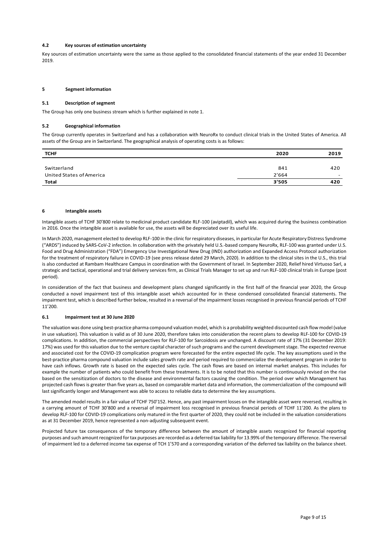#### **4.2 Key sources of estimation uncertainty**

Key sources of estimation uncertainty were the same as those applied to the consolidated financial statements of the year ended 31 December 2019.

#### **5 Segment information**

#### **5.1 Description of segment**

The Group has only one business stream which is further explained in note 1.

#### **5.2 Geographical information**

The Group currently operates in Switzerland and has a collaboration with NeuroRx to conduct clinical trials in the United States of America. All assets of the Group are in Switzerland. The geographical analysis of operating costs is as follows:

| <b>TCHF</b>              | 2020  | 2019                     |
|--------------------------|-------|--------------------------|
|                          |       |                          |
| Switzerland              | 841   | 420                      |
| United States of America | 2'664 | $\overline{\phantom{0}}$ |
| Total                    | 3'505 | 420                      |

#### **6 Intangible assets**

Intangible assets of TCHF 30'800 relate to medicinal product candidate RLF-100 (aviptadil), which was acquired during the business combination in 2016. Once the intangible asset is available for use, the assets will be depreciated over its useful life.

In March 2020, management elected to develop RLF-100 in the clinic for respiratory diseases, in particular for Acute Respiratory Distress Syndrome ("ARDS") induced by SARS-CoV-2 infection. In collaboration with the privately held U.S.-based company NeuroRx, RLF-100 was granted under U.S. Food and Drug Administration ("FDA") Emergency Use Investigational New Drug (IND) authorization and Expanded Access Protocol authorization for the treatment of respiratory failure in COVID-19 (see press release dated 29 March, 2020). In addition to the clinical sites in the U.S., this trial is also conducted at Rambam Healthcare Campus in coordination with the Government of Israel. In September 2020, Relief hired Virtuoso Sarl, a strategic and tactical, operational and trial delivery services firm, as Clinical Trials Manager to set up and run RLF-100 clinical trials in Europe (post period).

In consideration of the fact that business and development plans changed significantly in the first half of the financial year 2020, the Group conducted a novel impairment test of this intangible asset which accounted for in these condensed consolidated financial statements. The impairment test, which is described further below, resulted in a reversal of the impairment losses recognised in previous financial periods of TCHF 11'200.

#### **6.1 Impairment test at 30 June 2020**

The valuation was done using best-practice pharma compound valuation model, which is a probability weighted discounted cash flow model (value in use valuation). This valuation is valid as of 30 June 2020, therefore takes into consideration the recent plans to develop RLF-100 for COVID-19 complications. In addition, the commercial perspectives for RLF-100 for Sarcoidosis are unchanged. A discount rate of 17% (31 December 2019: 17%) was used for this valuation due to the venture capital character of such programs and the current development stage. The expected revenue and associated cost for the COVID-19 complication program were forecasted for the entire expected life cycle. The key assumptions used in the best-practice pharma compound valuation include sales growth rate and period required to commercialize the development program in order to have cash inflows. Growth rate is based on the expected sales cycle. The cash flows are based on internal market analyses. This includes for example the number of patients who could benefit from these treatments. It is to be noted that this number is continuously revised on the rise based on the sensitization of doctors to the disease and environmental factors causing the condition. The period over which Management has projected cash flows is greater than five years as, based on comparable market data and information, the commercialization of the compound will last significantly longer and Management was able to access to reliable data to determine the key assumptions.

The amended model results in a fair value of TCHF 750'152. Hence, any past impairment losses on the intangible asset were reversed, resulting in a carrying amount of TCHF 30'800 and a reversal of impairment loss recognised in previous financial periods of TCHF 11'200. As the plans to develop RLF-100 for COVID-19 complications only matured in the first quarter of 2020, they could not be included in the valuation considerations as at 31 December 2019, hence represented a non-adjusting subsequent event.

Projected future tax consequences of the temporary difference between the amount of intangible assets recognized for financial reporting purposes and such amount recognized for tax purposes are recorded as a deferred tax liability for 13.99% of the temporary difference. The reversal of impairment led to a deferred income tax expense of TCH 1'570 and a corresponding variation of the deferred tax liability on the balance sheet.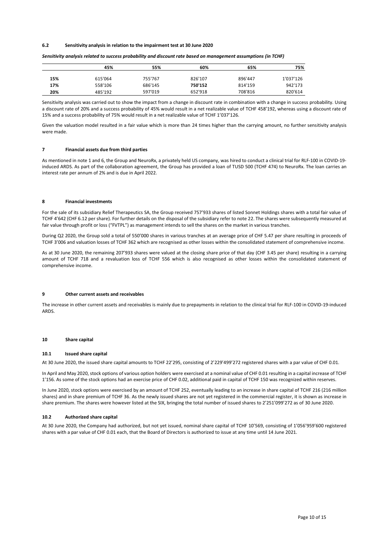#### **6.2 Sensitivity analysis in relation to the impairment test at 30 June 2020**

|     | 45%     | 55%     | 60%     | 65%     | 75%       |
|-----|---------|---------|---------|---------|-----------|
| 15% | 615'064 | 755'767 | 826'107 | 896'447 | 1'037'126 |
| 17% | 558'106 | 686'145 | 750'152 | 814'159 | 942'173   |
| 20% | 485'192 | 597'019 | 652'918 | 708'816 | 820'614   |

*Sensitivity analysis related to success probability and discount rate based on management assumptions (in TCHF)*

Sensitivity analysis was carried out to show the impact from a change in discount rate in combination with a change in success probability. Using a discount rate of 20% and a success probability of 45% would result in a net realizable value of TCHF 458'192, whereas using a discount rate of 15% and a success probability of 75% would result in a net realizable value of TCHF 1'037'126.

Given the valuation model resulted in a fair value which is more than 24 times higher than the carrying amount, no further sensitivity analysis were made.

#### **7 Financial assets due from third parties**

As mentioned in note 1 and 6, the Group and NeuroRx, a privately held US company, was hired to conduct a clinical trial for RLF-100 in COVID-19 induced ARDS. As part of the collaboration agreement, the Group has provided a loan of TUSD 500 (TCHF 474) to NeuroRx. The loan carries an interest rate per annum of 2% and is due in April 2022.

#### **8 Financial investments**

For the sale of its subsidiary Relief Therapeutics SA, the Group received 757'933 shares of listed Sonnet Holdings shares with a total fair value of TCHF 4'642 (CHF 6.12 per share). For further details on the disposal of the subsidiary refer to note 22. The shares were subsequently measured at fair value through profit or loss ("FVTPL") as management intends to sell the shares on the market in various tranches.

During Q2 2020, the Group sold a total of 550'000 shares in various tranches at an average price of CHF 5.47 per share resulting in proceeds of TCHF 3'006 and valuation losses of TCHF 362 which are recognised as other losses within the consolidated statement of comprehensive income.

As at 30 June 2020, the remaining 207'933 shares were valued at the closing share price of that day (CHF 3.45 per share) resulting in a carrying amount of TCHF 718 and a revaluation loss of TCHF 556 which is also recognised as other losses within the consolidated statement of comprehensive income.

#### **9 Other current assets and receivables**

The increase in other current assets and receivables is mainly due to prepayments in relation to the clinical trial for RLF-100 in COVID-19-induced ARDS.

#### **10 Share capital**

#### **10.1 Issued share capital**

At 30 June 2020, the issued share capital amounts to TCHF 22'295, consisting of 2'229'499'272 registered shares with a par value of CHF 0.01.

In April and May 2020, stock options of various option holders were exercised at a nominal value of CHF 0.01 resulting in a capital increase of TCHF 1'156. As some of the stock options had an exercise price of CHF 0.02, additional paid in capital of TCHF 150 was recognized within reserves.

In June 2020, stock options were exercised by an amount of TCHF 252, eventually leading to an increase in share capital of TCHF 216 (216 million shares) and in share premium of TCHF 36. As the newly issued shares are not yet registered in the commercial register, it is shown as increase in share premium. The shares were however listed at the SIX, bringing the total number of issued shares to 2'251'099'272 as of 30 June 2020.

#### **10.2 Authorized share capital**

At 30 June 2020, the Company had authorized, but not yet issued, nominal share capital of TCHF 10'569, consisting of 1'056'959'600 registered shares with a par value of CHF 0.01 each, that the Board of Directors is authorized to issue at any time until 14 June 2021.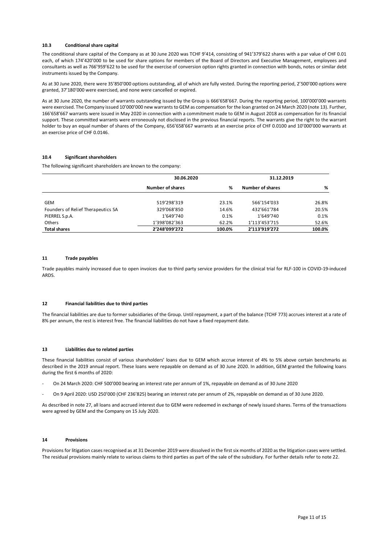#### **10.3 Conditional share capital**

The conditional share capital of the Company as at 30 June 2020 was TCHF 9'414, consisting of 941'379'622 shares with a par value of CHF 0.01 each, of which 174'420'000 to be used for share options for members of the Board of Directors and Executive Management, employees and consultants as well as 766'959'622 to be used for the exercise of conversion option rights granted in connection with bonds, notes or similar debt instruments issued by the Company.

As at 30 June 2020, there were 35'850'000 options outstanding, all of which are fully vested. During the reporting period, 2'500'000 options were granted, 37'180'000 were exercised, and none were cancelled or expired.

As at 30 June 2020, the number of warrants outstanding issued by the Group is 666'658'667. During the reporting period, 100'000'000 warrants were exercised. The Company issued 10'000'000 new warrants to GEM as compensation for the loan granted on 24 March 2020 (note 13). Further, 166'658'667 warrants were issued in May 2020 in connection with a commitment made to GEM in August 2018 as compensation for its financial support. These committed warrants were erroneously not disclosed in the previous financial reports. The warrants give the right to the warrant holder to buy an equal number of shares of the Company, 656'658'667 warrants at an exercise price of CHF 0.0100 and 10'000'000 warrants at an exercise price of CHF 0.0146.

#### **10.4 Significant shareholders**

The following significant shareholders are known to the company:

|                                    | 30.06.2020       |        | 31.12.2019       |        |
|------------------------------------|------------------|--------|------------------|--------|
|                                    | Number of shares | %      | Number of shares | %      |
|                                    |                  |        |                  |        |
| GEM                                | 519'298'319      | 23.1%  | 566'154'033      | 26.8%  |
| Founders of Relief Therapeutics SA | 329'068'850      | 14.6%  | 432'661'784      | 20.5%  |
| PIERREL S.p.A.                     | 1'649'740        | 0.1%   | 1'649'740        | 0.1%   |
| Others                             | 1'398'082'363    | 62.2%  | 1'113'453'715    | 52.6%  |
| <b>Total shares</b>                | 2'248'099'272    | 100.0% | 2'113'919'272    | 100.0% |

#### **11 Trade payables**

Trade payables mainly increased due to open invoices due to third party service providers for the clinical trial for RLF-100 in COVID-19-induced ARDS.

#### **12 Financial liabilities due to third parties**

The financial liabilities are due to former subsidiaries of the Group. Until repayment, a part of the balance (TCHF 773) accrues interest at a rate of 8% per annum, the rest is interest free. The financial liabilities do not have a fixed repayment date.

#### **13 Liabilities due to related parties**

These financial liabilities consist of various shareholders' loans due to GEM which accrue interest of 4% to 5% above certain benchmarks as described in the 2019 annual report. These loans were repayable on demand as of 30 June 2020. In addition, GEM granted the following loans during the first 6 months of 2020:

- On 24 March 2020: CHF 500'000 bearing an interest rate per annum of 1%, repayable on demand as of 30 June 2020
- On 9 April 2020: USD 250'000 (CHF 236'825) bearing an interest rate per annum of 2%, repayable on demand as of 30 June 2020.

As described in note 27, all loans and accrued interest due to GEM were redeemed in exchange of newly issued shares. Terms of the transactions were agreed by GEM and the Company on 15 July 2020.

#### **14 Provisions**

Provisions for litigation cases recognised as at 31 December 2019 were dissolved in the first six months of 2020 as the litigation cases were settled. The residual provisions mainly relate to various claims to third parties as part of the sale of the subsidiary. For further details refer to note 22.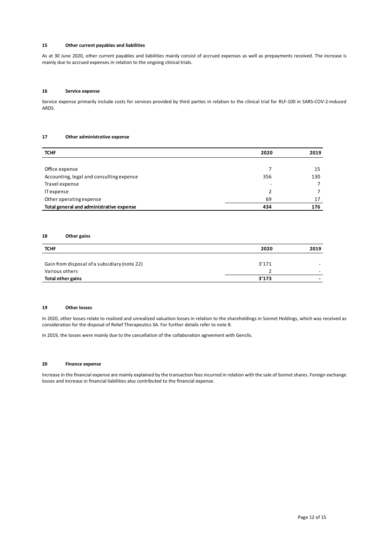#### **15 Other current payables and liabilities**

As at 30 June 2020, other current payables and liabilities mainly consist of accrued expenses as well as prepayments received. The increase is mainly due to accrued expenses in relation to the ongoing clinical trials.

#### **16 Service expense**

Service expense primarily include costs for services provided by third parties in relation to the clinical trial for RLF-100 in SARS-COV-2-induced ARDS.

#### **17 Other administrative expense**

| <b>TCHF</b>                              | 2020 | 2019 |
|------------------------------------------|------|------|
|                                          |      |      |
| Office expense                           |      | 15   |
| Accounting, legal and consulting expense | 356  | 130  |
| Travel expense                           | -    |      |
| IT expense                               | 2    |      |
| Other operating expense                  | 69   | 17   |
| Total general and administrative expense | 434  | 176  |

#### **18 Other gains**

| <b>TCHF</b>                                  | 2020  | 2019 |
|----------------------------------------------|-------|------|
|                                              |       |      |
| Gain from disposal of a subsidiary (note 22) | 3'171 |      |
| Various others                               |       |      |
| Total other gains                            | 3'173 | -    |

#### **19 Other losses**

In 2020, other losses relate to realized and unrealized valuation losses in relation to the shareholdings in Sonnet Holdings, which was received as consideration for the disposal of Relief Therapeutics SA. For further details refer to note 8.

In 2019, the losses were mainly due to the cancellation of the collaboration agreement with Genclis.

#### **20 Finance expense**

Increase in the financial expense are mainly explained by the transaction fees incurred in relation with the sale of Sonnet shares. Foreign exchange losses and increase in financial liabilities also contributed to the financial expense.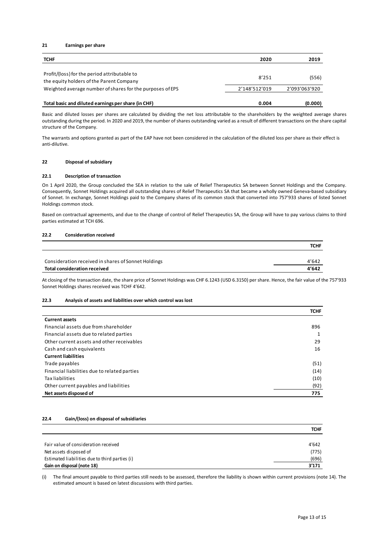#### **21 Earnings per share**

| <b>TCHF</b>                                                                                                                                           | 2020          | 2019          |
|-------------------------------------------------------------------------------------------------------------------------------------------------------|---------------|---------------|
| Profit/(loss) for the period attributable to<br>the equity holders of the Parent Company<br>Weighted average number of shares for the purposes of EPS | 8'251         | (556)         |
|                                                                                                                                                       | 2'148'512'019 | 2'093'063'920 |
| Total basic and diluted earnings per share (in CHF)                                                                                                   | 0.004         | (0.000)       |

Basic and diluted losses per shares are calculated by dividing the net loss attributable to the shareholders by the weighted average shares outstanding during the period. In 2020 and 2019, the number of shares outstanding varied as a result of different transactions on the share capital structure of the Company.

The warrants and options granted as part of the EAP have not been considered in the calculation of the diluted loss per share as their effect is anti-dilutive.

#### **22 Disposal of subsidiary**

#### **22.1 Description of transaction**

On 1 April 2020, the Group concluded the SEA in relation to the sale of Relief Therapeutics SA between Sonnet Holdings and the Company. Consequently, Sonnet Holdings acquired all outstanding shares of Relief Therapeutics SA that became a wholly owned Geneva-based subsidiary of Sonnet. In exchange, Sonnet Holdings paid to the Company shares of its common stock that converted into 757'933 shares of listed Sonnet Holdings common stock.

Based on contractual agreements, and due to the change of control of Relief Therapeutics SA, the Group will have to pay various claims to third parties estimated at TCH 696.

#### **22.2 Consideration received**

|                                                     | <b>TCHF</b> |
|-----------------------------------------------------|-------------|
|                                                     |             |
| Consideration received in shares of Sonnet Holdings | 4'642       |
| Total consideration received                        | 4'642       |

At closing of the transaction date, the share price of Sonnet Holdings was CHF 6.1243 (USD 6.3150) per share. Hence, the fair value of the 757'933 Sonnet Holdings shares received was TCHF 4'642.

#### **22.3 Analysis of assets and liabilities over which control was lost**

|                                              | <b>TCHF</b> |
|----------------------------------------------|-------------|
| <b>Current assets</b>                        |             |
| Financial assets due from shareholder        | 896         |
| Financial assets due to related parties      |             |
| Other current assets and other receivables   | 29          |
| Cash and cash equivalents                    | 16          |
| <b>Current liabilities</b>                   |             |
| Trade payables                               | (51)        |
| Financial liabilities due to related parties | (14)        |
| Tax liabilities                              | (10)        |
| Other current payables and liabilities       | (92)        |
| Net assets disposed of                       | 775         |

#### **22.4 Gain/(loss) on disposal of subsidiaries**

|                                                | <b>TCHF</b> |
|------------------------------------------------|-------------|
|                                                |             |
| Fair value of consideration received           | 4'642       |
| Net assets disposed of                         | (775)       |
| Estimated liabilities due to third parties (i) | (696)       |
| Gain on disposal (note 18)                     | 3'171       |

(i) The final amount payable to third parties still needs to be assessed, therefore the liability is shown within current provisions (note 14). The estimated amount is based on latest discussions with third parties.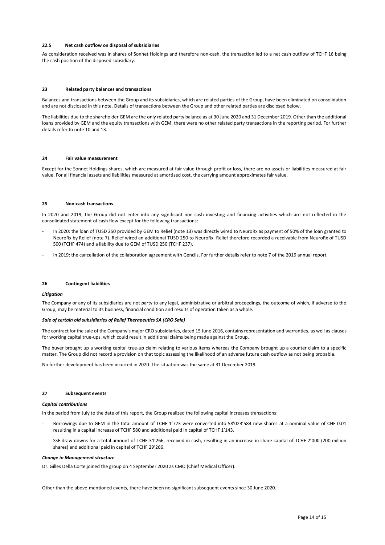#### **22.5 Net cash outflow on disposal of subsidiaries**

As consideration received was in shares of Sonnet Holdings and therefore non-cash, the transaction led to a net cash outflow of TCHF 16 being the cash position of the disposed subsidiary.

#### **23 Related party balances and transactions**

Balances and transactions between the Group and its subsidiaries, which are related parties of the Group, have been eliminated on consolidation and are not disclosed in this note. Details of transactions between the Group and other related parties are disclosed below.

The liabilities due to the shareholder GEM are the only related party balance as at 30 June 2020 and 31 December 2019. Other than the additional loans provided by GEM and the equity transactions with GEM, there were no other related party transactions in the reporting period. For further details refer to note 10 and 13.

#### **24 Fair value measurement**

Except for the Sonnet Holdings shares, which are measured at fair value through profit or loss, there are no assets or liabilities measured at fair value. For all financial assets and liabilities measured at amortised cost, the carrying amount approximates fair value.

#### **25 Non-cash transactions**

In 2020 and 2019, the Group did not enter into any significant non-cash investing and financing activities which are not reflected in the consolidated statement of cash flow except for the following transactions:

- In 2020: the loan of TUSD 250 provided by GEM to Relief (note 13) was directly wired to NeuroRx as payment of 50% of the loan granted to NeuroRx by Relief (note 7). Relief wired an additional TUSD 250 to NeuroRx. Relief therefore recorded a receivable from NeuroRx of TUSD 500 (TCHF 474) and a liability due to GEM of TUSD 250 (TCHF 237).
- In 2019: the cancellation of the collaboration agreement with Genclis. For further details refer to note 7 of the 2019 annual report.

#### **26 Contingent liabilities**

#### *Litigation*

The Company or any of its subsidiaries are not party to any legal, administrative or arbitral proceedings, the outcome of which, if adverse to the Group, may be material to its business, financial condition and results of operation taken as a whole.

#### *Sale of certain old subsidiaries of Relief Therapeutics SA (CRO Sale)*

The contract for the sale of the Company's major CRO subsidiaries, dated 15 June 2016, contains representation and warranties, as well as clauses for working capital true-ups, which could result in additional claims being made against the Group.

The buyer brought up a working capital true-up claim relating to various items whereas the Company brought up a counter claim to a specific matter. The Group did not record a provision on that topic assessing the likelihood of an adverse future cash outflow as not being probable.

No further development has been incurred in 2020. The situation was the same at 31 December 2019.

#### **27 Subsequent events**

#### *Capital contributions*

In the period from July to the date of this report, the Group realized the following capital increases transactions:

- Borrowings due to GEM in the total amount of TCHF 1'723 were converted into 58'023'584 new shares at a nominal value of CHF 0.01 resulting in a capital increase of TCHF 580 and additional paid in capital of TCHF 1'143.
- SSF draw-downs for a total amount of TCHF 31'266, received in cash, resulting in an increase in share capital of TCHF 2'000 (200 million shares) and additional paid in capital of TCHF 29'266.

#### *Change in Management structure*

Dr. Gilles Della Corte joined the group on 4 September 2020 as CMO (Chief Medical Officer).

Other than the above-mentioned events, there have been no significant subsequent events since 30 June 2020.